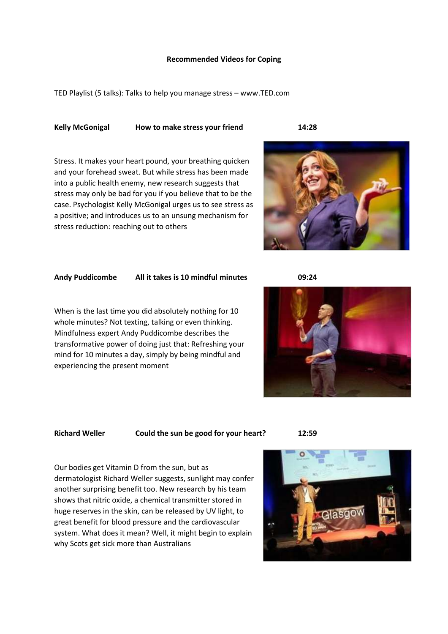### **Recommended Videos for Coping**

TED Playlist (5 talks): Talks to help you manage stress – www.TED.com

# **Kelly McGonigal How to make stress your friend 14:28**

Stress. It makes your heart pound, your breathing quicken and your forehead sweat. But while stress has been made into a public health enemy, new research suggests that stress may only be bad for you if you believe that to be the case. Psychologist Kelly McGonigal urges us to see stress as a positive; and introduces us to an unsung mechanism for stress reduction: reaching out to others



# **Andy Puddicombe All it takes is 10 mindful minutes 09:24**

When is the last time you did absolutely nothing for 10 whole minutes? Not texting, talking or even thinking. Mindfulness expert Andy Puddicombe describes the transformative power of doing just that: Refreshing your mind for 10 minutes a day, simply by being mindful and experiencing the present moment



**Richard Weller Could the sun be good for your heart? 12:59**

Our bodies get Vitamin D from the sun, but as dermatologist Richard Weller suggests, sunlight may confer another surprising benefit too. New research by his team shows that nitric oxide, a chemical transmitter stored in huge reserves in the skin, can be released by UV light, to great benefit for blood pressure and the cardiovascular system. What does it mean? Well, it might begin to explain why Scots get sick more than Australians